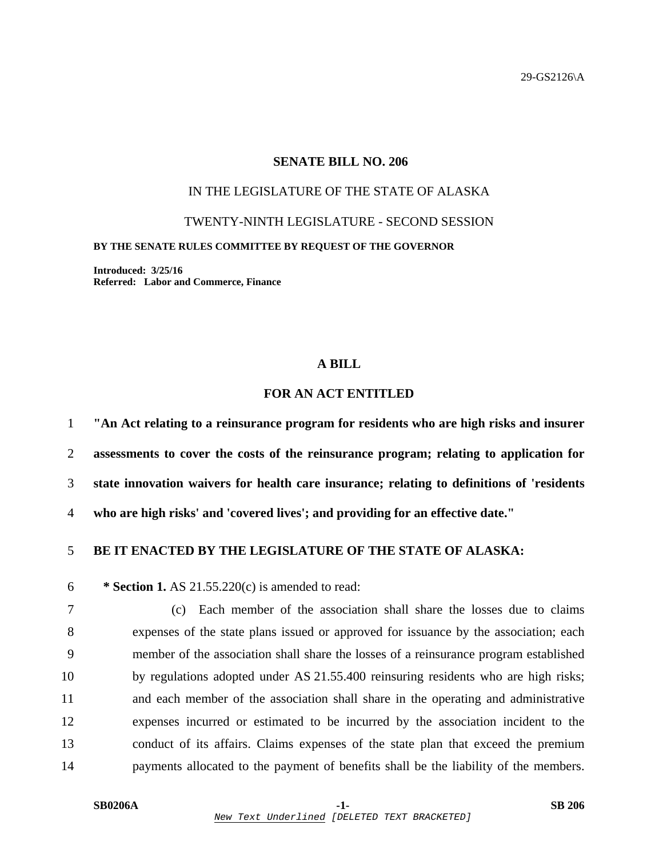### **SENATE BILL NO. 206**

# IN THE LEGISLATURE OF THE STATE OF ALASKA

TWENTY-NINTH LEGISLATURE - SECOND SESSION

#### **BY THE SENATE RULES COMMITTEE BY REQUEST OF THE GOVERNOR**

**Introduced: 3/25/16 Referred: Labor and Commerce, Finance** 

#### **A BILL**

# **FOR AN ACT ENTITLED**

**"An Act relating to a reinsurance program for residents who are high risks and insurer assessments to cover the costs of the reinsurance program; relating to application for state innovation waivers for health care insurance; relating to definitions of 'residents who are high risks' and 'covered lives'; and providing for an effective date."** 

### 5 **BE IT ENACTED BY THE LEGISLATURE OF THE STATE OF ALASKA:**

6 **\* Section 1.** AS 21.55.220(c) is amended to read:

7 (c) Each member of the association shall share the losses due to claims 8 expenses of the state plans issued or approved for issuance by the association; each 9 member of the association shall share the losses of a reinsurance program established 10 by regulations adopted under AS 21.55.400 reinsuring residents who are high risks; 11 and each member of the association shall share in the operating and administrative 12 expenses incurred or estimated to be incurred by the association incident to the 13 conduct of its affairs. Claims expenses of the state plan that exceed the premium 14 payments allocated to the payment of benefits shall be the liability of the members.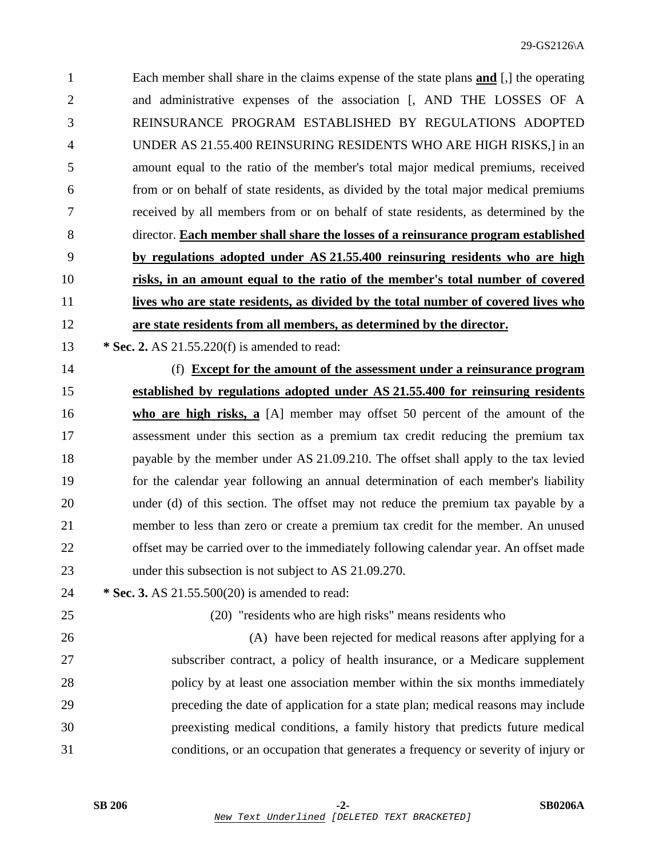1 Each member shall share in the claims expense of the state plans **and** [,] the operating 2 and administrative expenses of the association [, AND THE LOSSES OF A 3 REINSURANCE PROGRAM ESTABLISHED BY REGULATIONS ADOPTED 4 UNDER AS 21.55.400 REINSURING RESIDENTS WHO ARE HIGH RISKS,] in an 5 amount equal to the ratio of the member's total major medical premiums, received 6 from or on behalf of state residents, as divided by the total major medical premiums 7 received by all members from or on behalf of state residents, as determined by the 8 director. **Each member shall share the losses of a reinsurance program established** 9 **by regulations adopted under AS 21.55.400 reinsuring residents who are high** 10 **risks, in an amount equal to the ratio of the member's total number of covered** 11 **lives who are state residents, as divided by the total number of covered lives who** 12 **are state residents from all members, as determined by the director.**

- 13 **\* Sec. 2.** AS 21.55.220(f) is amended to read:
- 14 (f) **Except for the amount of the assessment under a reinsurance program**  15 **established by regulations adopted under AS 21.55.400 for reinsuring residents**  16 **who are high risks, a** [A] member may offset 50 percent of the amount of the 17 assessment under this section as a premium tax credit reducing the premium tax 18 payable by the member under AS 21.09.210. The offset shall apply to the tax levied 19 for the calendar year following an annual determination of each member's liability 20 under (d) of this section. The offset may not reduce the premium tax payable by a 21 member to less than zero or create a premium tax credit for the member. An unused 22 offset may be carried over to the immediately following calendar year. An offset made 23 under this subsection is not subject to AS 21.09.270.
- 24 **\* Sec. 3.** AS 21.55.500(20) is amended to read:

25 (20) "residents who are high risks" means residents who

26 (A) have been rejected for medical reasons after applying for a 27 subscriber contract, a policy of health insurance, or a Medicare supplement 28 policy by at least one association member within the six months immediately 29 preceding the date of application for a state plan; medical reasons may include 30 preexisting medical conditions, a family history that predicts future medical 31 conditions, or an occupation that generates a frequency or severity of injury or